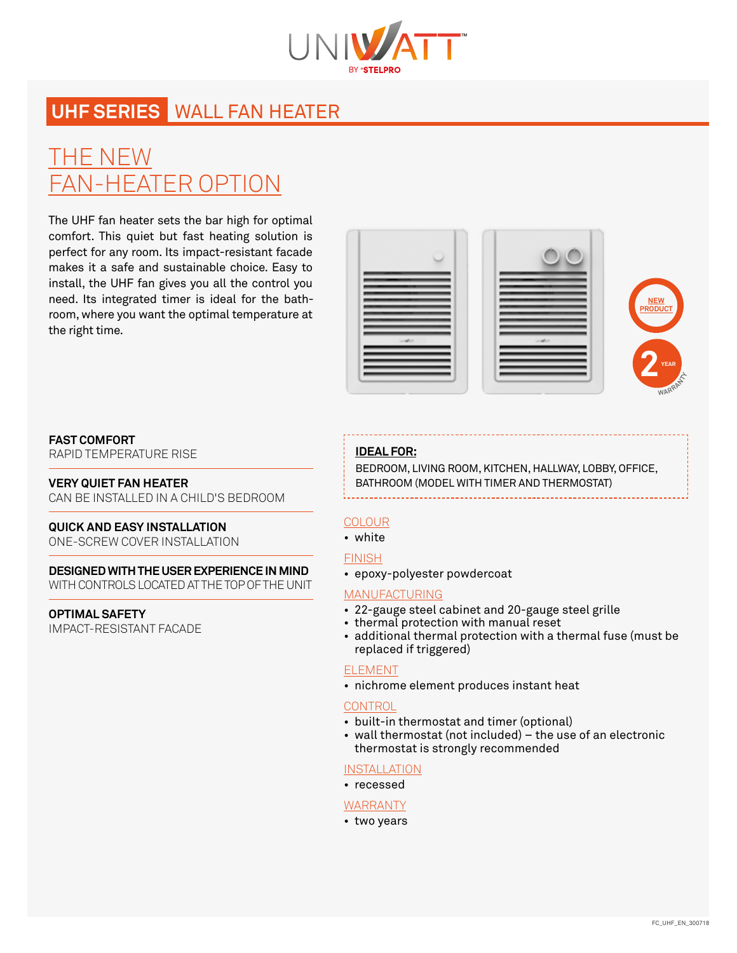

# **UHF SERIES** WALL FAN HEATER

# THE NEW FAN-HEATER OPTION

The UHF fan heater sets the bar high for optimal comfort. This quiet but fast heating solution is perfect for any room. Its impact-resistant facade makes it a safe and sustainable choice. Easy to install, the UHF fan gives you all the control you need. Its integrated timer is ideal for the bathroom, where you want the optimal temperature at the right time.



### **FAST COMFORT**

RAPID TEMPERATURE RISE

# **VERY QUIET FAN HEATER**

CAN BE INSTALLED IN A CHILD'S BEDROOM

# **QUICK AND EASY INSTALLATION**

ONE-SCREW COVER INSTALLATION

### **DESIGNED WITH THE USER EXPERIENCE IN MIND**  WITH CONTROLS LOCATED AT THE TOP OF THE UNIT

**OPTIMAL SAFETY** IMPACT-RESISTANT FACADE

# **IDEAL FOR:**

BEDROOM, LIVING ROOM, KITCHEN, HALLWAY, LOBBY, OFFICE, BATHROOM (MODEL WITH TIMER AND THERMOSTAT)

# **COLOUR**

• white

# FINISH

• epoxy-polyester powdercoat

# MANUFACTURING

- 22-gauge steel cabinet and 20-gauge steel grille
- thermal protection with manual reset
- additional thermal protection with a thermal fuse (must be replaced if triggered)

# ELEMENT

• nichrome element produces instant heat

# **CONTROL**

- built-in thermostat and timer (optional)
- wall thermostat (not included) the use of an electronic thermostat is strongly recommended

# **INSTALLATION**

• recessed

#### WARRANTY

• two years